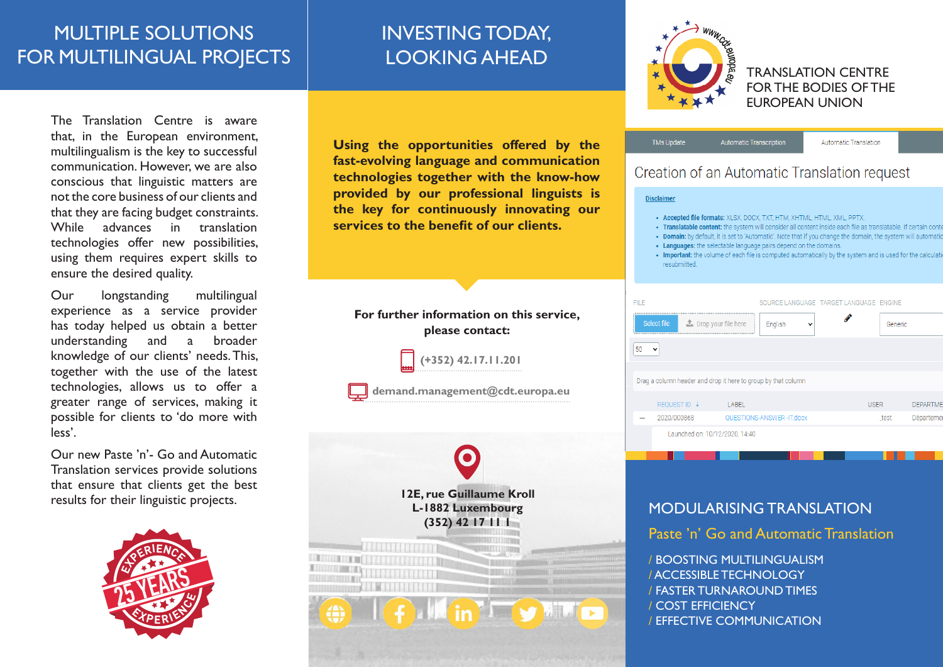## MULTIPLE SOLUTIONS FOR MULTILINGUAL PROJECTS

# INVESTING TODAY, LOOKING AHEAD

The Translation Centre is aware that, in the European environment, multilingualism is the key to successful communication. However, we are also conscious that linguistic matters are not the core business of our clients and that they are facing budget constraints. While advances in translation technologies offer new possibilities, using them requires expert skills to ensure the desired quality.

Our longstanding multilingual experience as a service provider has today helped us obtain a better understanding and a broader knowledge of our clients' needs. This, together with the use of the latest technologies, allows us to offer a greater range of services, making it possible for clients to 'do more with less'.

Our new Paste 'n'- Go and Automatic Translation services provide solutions that ensure that clients get the best results for their linguistic projects.



**Using the opportunities offered by the fast-evolving language and communication technologies together with the know-how provided by our professional linguists is the key for continuously innovating our services to the benefit of our clients.** 





TRANSLATION CENTRE FOR THE BODIES OF THE EUROPEAN UNION

| <b>TMs Update</b> | <b>Automatic Transcription</b> | Automatic Translation |  |
|-------------------|--------------------------------|-----------------------|--|
|                   |                                |                       |  |

## Creation of an Automatic Translation request

**Disclaimer** 

- Accepted file formats: XLSX, DOCX, TXT, HTM, XHTML, HTML, XML, PPTX
- . Translatable content: the system will consider all content inside each file as translatable. If certain co
- . Domain: by default, it is set to 'Automatic'. Note that if you change the domain, the system will automatic
- Languages: the selectable language pairs depend on the domains.
- . Important: the volume of each file is computed automatically by the system and is used for the calculati resubmitted

| FIL F |                                                               |       |                          |              | SOURCE LANGUAGE TARGET LANGUAGE ENGINE |             |         |                 |
|-------|---------------------------------------------------------------|-------|--------------------------|--------------|----------------------------------------|-------------|---------|-----------------|
|       | Select file<br>Drop your file here                            |       | English                  | $\checkmark$ |                                        |             | Generic |                 |
| 50    | $\check{ }$                                                   |       |                          |              |                                        |             |         |                 |
|       |                                                               |       |                          |              |                                        |             |         |                 |
|       | Drag a column header and drop it here to group by that column |       |                          |              |                                        |             |         |                 |
|       | <b>REQUEST ID ↓</b>                                           | LABEL |                          |              |                                        | <b>USER</b> |         | <b>DEPARTME</b> |
|       | 2020/000868                                                   |       | QUESTIONS-ANSWER-IT.docx |              |                                        |             | test    | Départeme       |
|       | Launched on: 10/12/2020, 14:40                                |       |                          |              |                                        |             |         |                 |

## MODULARISING TRANSLATION

Paste 'n' Go and Automatic Translation

/ BOOSTING MULTILINGUALISM / ACCESSIBLE TECHNOLOGY / FASTER TURNAROUND TIMES / COST EFFICIENCY / EFFECTIVE COMMUNICATION